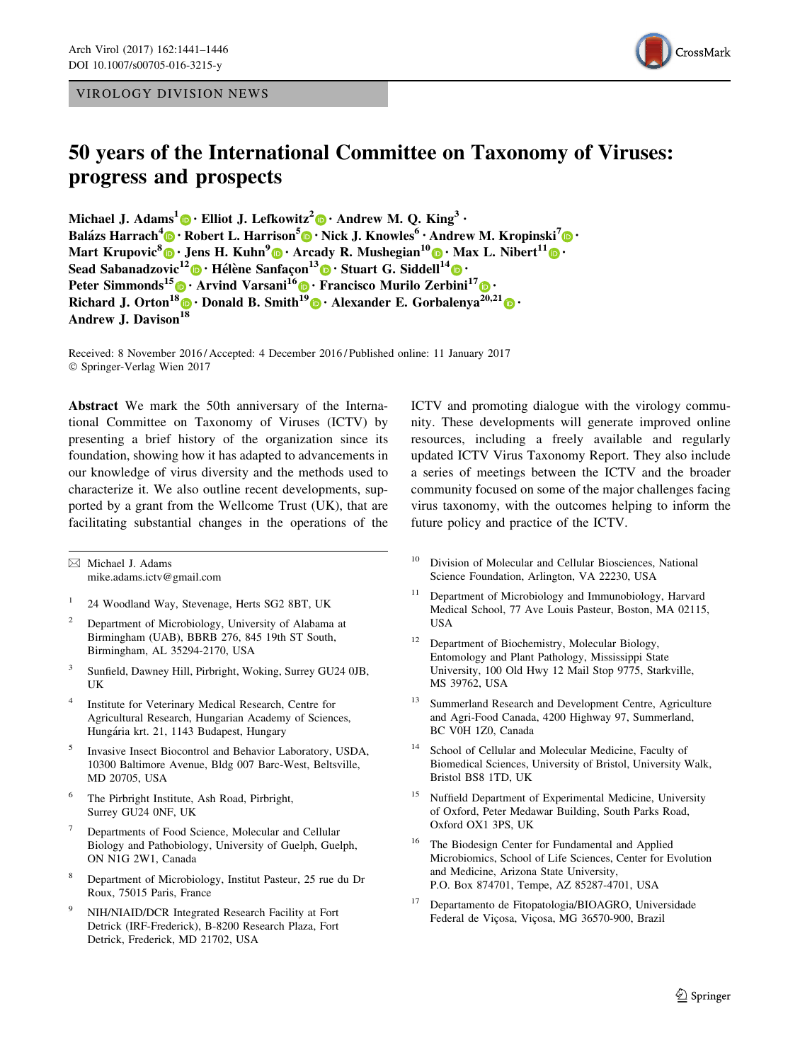VIROLOGY DIVISION NEWS

# 50 years of the International Committee on Taxonomy of Viruses: progress and prospects

Michael J. Adams<sup>1</sup> • Elliot J. Lefkowitz<sup>2</sup> • Andrew M. Q. King<sup>3</sup> • Balázs Harrach<sup>4</sup> [•](http://orcid.org/0000-0002-6871-6799) Robert L. Harrison<sup>5</sup> • Nick J. Knowles<sup>6</sup> • Andrew M. Kropinski<sup>7</sup> • Mart Krupovic<sup>8</sup> [•](http://orcid.org/0000-0002-7800-6045) Jens H. Kuhn<sup>9</sup> • Arcady R. Mushegian<sup>10</sup> • Max L. Nibert<sup>11</sup> • Sead Sabanadzovic<sup>12</sup> [•](http://orcid.org/0000-0003-3807-3590) Hélène Sanfaçon<sup>13</sup> • Stuart G. Siddell<sup>[14](http://orcid.org/0000-0002-6809-9225)</sup> • Peter Simmonds<sup>15</sup>  $\mathbf{D} \cdot$  Arvind Varsani<sup>16</sup>  $\mathbf{D} \cdot$  Francisco Murilo Zerbini<sup>17</sup>  $\mathbf{D} \cdot$ Richard J. Orton<sup>18</sup>  $\bigcirc$  · Donald B. Smith<sup>[19](http://orcid.org/0000-0003-4111-2415)</sup>  $\bigcirc$  · Alexander E. Gorbalenya<sup>[20,2](http://orcid.org/0000-0001-8617-0200)1</sup>  $\bigcirc$  · Andrew J. Davison<sup>[18](http://orcid.org/0000-0002-3389-4325)</sup>

Received: 8 November 2016 / Accepted: 4 December 2016 / Published online: 11 January 2017 © Springer-Verlag Wien 2017

Abstract We mark the 50th anniversary of the International Committee on Taxonomy of Viruses (ICTV) by presenting a brief history of the organization since its foundation, showing how it has adapted to advancements in our knowledge of virus diversity and the methods used to characterize it. We also outline recent developments, supported by a grant from the Wellcome Trust (UK), that are facilitating substantial changes in the operations of the

 $\boxtimes$  Michael J. Adams mike.adams.ictv@gmail.com

- <sup>1</sup> 24 Woodland Way, Stevenage, Herts SG2 8BT, UK
- <sup>2</sup> Department of Microbiology, University of Alabama at Birmingham (UAB), BBRB 276, 845 19th ST South, Birmingham, AL 35294-2170, USA
- <sup>3</sup> Sunfield, Dawney Hill, Pirbright, Woking, Surrey GU24 0JB, UK
- Institute for Veterinary Medical Research, Centre for Agricultural Research, Hungarian Academy of Sciences, Hungária krt. 21, 1143 Budapest, Hungary
- Invasive Insect Biocontrol and Behavior Laboratory, USDA, 10300 Baltimore Avenue, Bldg 007 Barc-West, Beltsville, MD 20705, USA
- <sup>6</sup> The Pirbright Institute, Ash Road, Pirbright, Surrey GU24 0NF, UK
- Departments of Food Science, Molecular and Cellular Biology and Pathobiology, University of Guelph, Guelph, ON N1G 2W1, Canada
- <sup>8</sup> Department of Microbiology, Institut Pasteur, 25 rue du Dr Roux, 75015 Paris, France
- NIH/NIAID/DCR Integrated Research Facility at Fort Detrick (IRF-Frederick), B-8200 Research Plaza, Fort Detrick, Frederick, MD 21702, USA

ICTV and promoting dialogue with the virology community. These developments will generate improved online resources, including a freely available and regularly updated ICTV Virus Taxonomy Report. They also include a series of meetings between the ICTV and the broader community focused on some of the major challenges facing virus taxonomy, with the outcomes helping to inform the future policy and practice of the ICTV.

- <sup>10</sup> Division of Molecular and Cellular Biosciences, National Science Foundation, Arlington, VA 22230, USA
- <sup>11</sup> Department of Microbiology and Immunobiology, Harvard Medical School, 77 Ave Louis Pasteur, Boston, MA 02115, USA
- Department of Biochemistry, Molecular Biology, Entomology and Plant Pathology, Mississippi State University, 100 Old Hwy 12 Mail Stop 9775, Starkville, MS 39762, USA
- Summerland Research and Development Centre, Agriculture and Agri-Food Canada, 4200 Highway 97, Summerland, BC V0H 1Z0, Canada
- School of Cellular and Molecular Medicine, Faculty of Biomedical Sciences, University of Bristol, University Walk, Bristol BS8 1TD, UK
- <sup>15</sup> Nuffield Department of Experimental Medicine, University of Oxford, Peter Medawar Building, South Parks Road, Oxford OX1 3PS, UK
- The Biodesign Center for Fundamental and Applied Microbiomics, School of Life Sciences, Center for Evolution and Medicine, Arizona State University, P.O. Box 874701, Tempe, AZ 85287-4701, USA
- Departamento de Fitopatologia/BIOAGRO, Universidade Federal de Viçosa, Viçosa, MG 36570-900, Brazil

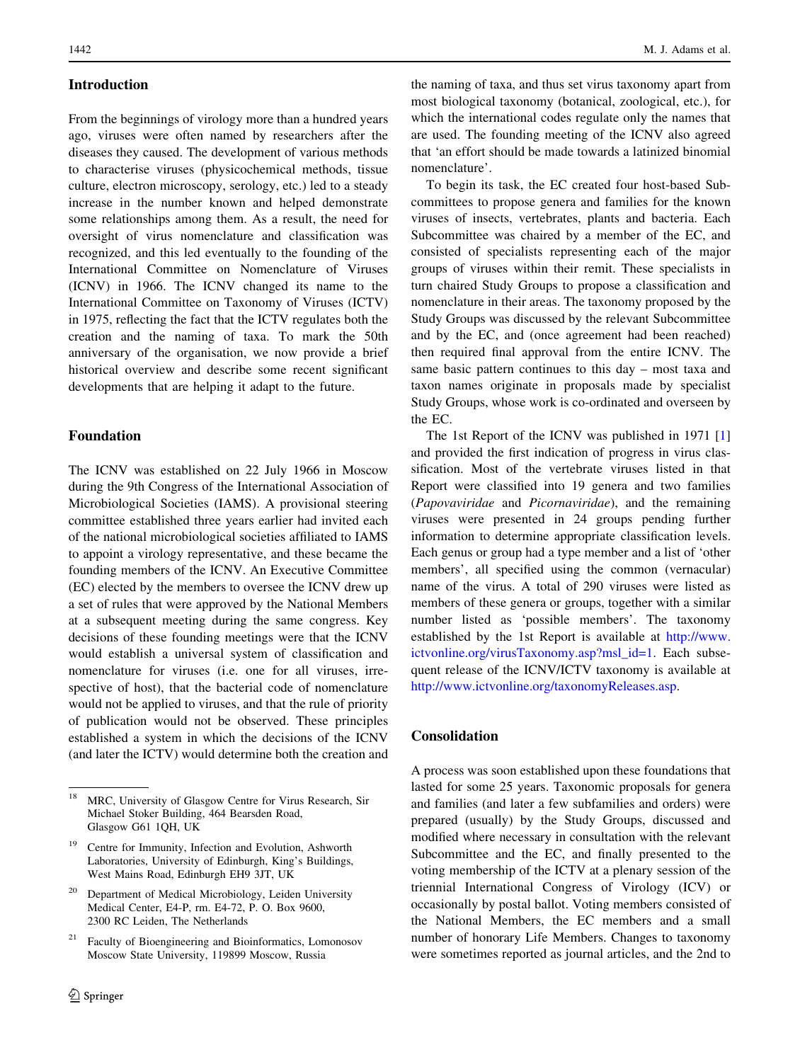## Introduction

From the beginnings of virology more than a hundred years ago, viruses were often named by researchers after the diseases they caused. The development of various methods to characterise viruses (physicochemical methods, tissue culture, electron microscopy, serology, etc.) led to a steady increase in the number known and helped demonstrate some relationships among them. As a result, the need for oversight of virus nomenclature and classification was recognized, and this led eventually to the founding of the International Committee on Nomenclature of Viruses (ICNV) in 1966. The ICNV changed its name to the International Committee on Taxonomy of Viruses (ICTV) in 1975, reflecting the fact that the ICTV regulates both the creation and the naming of taxa. To mark the 50th anniversary of the organisation, we now provide a brief historical overview and describe some recent significant developments that are helping it adapt to the future.

# Foundation

The ICNV was established on 22 July 1966 in Moscow during the 9th Congress of the International Association of Microbiological Societies (IAMS). A provisional steering committee established three years earlier had invited each of the national microbiological societies affiliated to IAMS to appoint a virology representative, and these became the founding members of the ICNV. An Executive Committee (EC) elected by the members to oversee the ICNV drew up a set of rules that were approved by the National Members at a subsequent meeting during the same congress. Key decisions of these founding meetings were that the ICNV would establish a universal system of classification and nomenclature for viruses (i.e. one for all viruses, irrespective of host), that the bacterial code of nomenclature would not be applied to viruses, and that the rule of priority of publication would not be observed. These principles established a system in which the decisions of the ICNV (and later the ICTV) would determine both the creation and

the naming of taxa, and thus set virus taxonomy apart from most biological taxonomy (botanical, zoological, etc.), for which the international codes regulate only the names that are used. The founding meeting of the ICNV also agreed that 'an effort should be made towards a latinized binomial nomenclature'.

To begin its task, the EC created four host-based Subcommittees to propose genera and families for the known viruses of insects, vertebrates, plants and bacteria. Each Subcommittee was chaired by a member of the EC, and consisted of specialists representing each of the major groups of viruses within their remit. These specialists in turn chaired Study Groups to propose a classification and nomenclature in their areas. The taxonomy proposed by the Study Groups was discussed by the relevant Subcommittee and by the EC, and (once agreement had been reached) then required final approval from the entire ICNV. The same basic pattern continues to this day – most taxa and taxon names originate in proposals made by specialist Study Groups, whose work is co-ordinated and overseen by the EC.

The 1st Report of the ICNV was published in 1971 [[1\]](#page-4-0) and provided the first indication of progress in virus classification. Most of the vertebrate viruses listed in that Report were classified into 19 genera and two families (Papovaviridae and Picornaviridae), and the remaining viruses were presented in 24 groups pending further information to determine appropriate classification levels. Each genus or group had a type member and a list of 'other members', all specified using the common (vernacular) name of the virus. A total of 290 viruses were listed as members of these genera or groups, together with a similar number listed as 'possible members'. The taxonomy established by the 1st Report is available at [http://www.](http://www.ictvonline.org/virusTaxonomy.asp%3fmsl_id%3d1) [ictvonline.org/virusTaxonomy.asp?msl\\_id=1](http://www.ictvonline.org/virusTaxonomy.asp%3fmsl_id%3d1). Each subsequent release of the ICNV/ICTV taxonomy is available at [http://www.ictvonline.org/taxonomyReleases.asp.](http://www.ictvonline.org/taxonomyReleases.asp)

## Consolidation

A process was soon established upon these foundations that lasted for some 25 years. Taxonomic proposals for genera and families (and later a few subfamilies and orders) were prepared (usually) by the Study Groups, discussed and modified where necessary in consultation with the relevant Subcommittee and the EC, and finally presented to the voting membership of the ICTV at a plenary session of the triennial International Congress of Virology (ICV) or occasionally by postal ballot. Voting members consisted of the National Members, the EC members and a small number of honorary Life Members. Changes to taxonomy were sometimes reported as journal articles, and the 2nd to

<sup>&</sup>lt;sup>18</sup> MRC, University of Glasgow Centre for Virus Research, Sir Michael Stoker Building, 464 Bearsden Road, Glasgow G61 1QH, UK

Centre for Immunity, Infection and Evolution, Ashworth Laboratories, University of Edinburgh, King's Buildings, West Mains Road, Edinburgh EH9 3JT, UK

Department of Medical Microbiology, Leiden University Medical Center, E4-P, rm. E4-72, P. O. Box 9600, 2300 RC Leiden, The Netherlands

Faculty of Bioengineering and Bioinformatics, Lomonosov Moscow State University, 119899 Moscow, Russia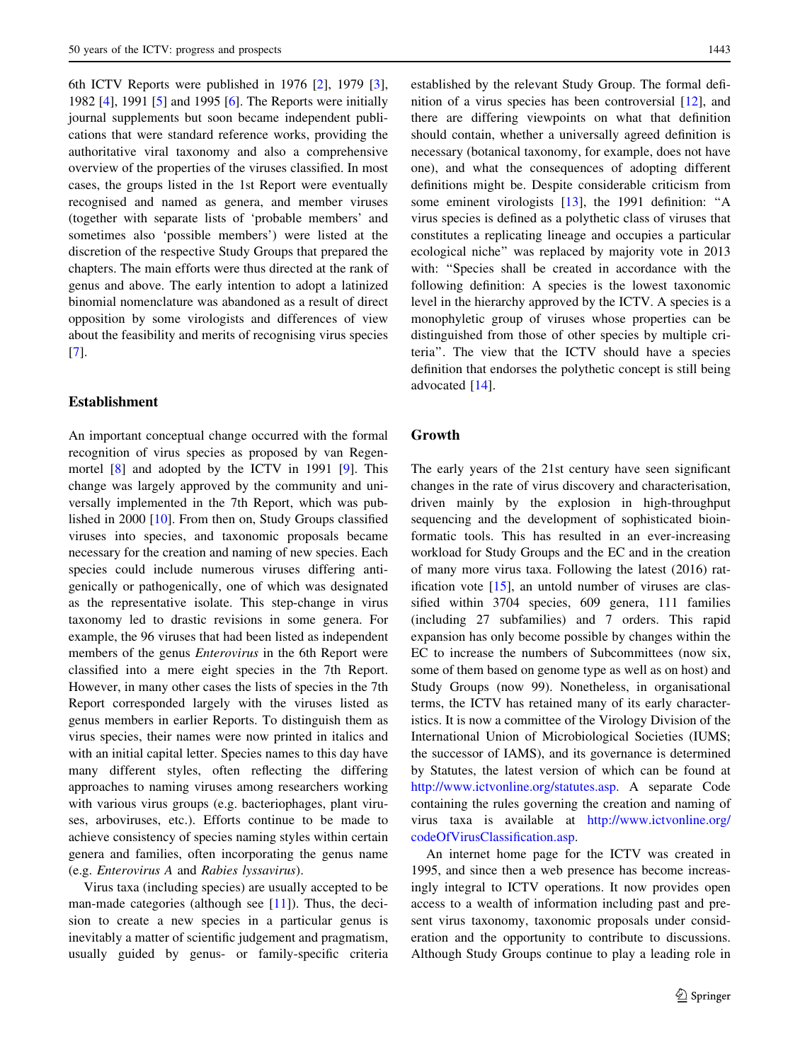6th ICTV Reports were published in 1976 [\[2](#page-4-0)], 1979 [\[3](#page-5-0)], 1982 [[4\]](#page-5-0), 1991 [\[5](#page-5-0)] and 1995 [\[6](#page-5-0)]. The Reports were initially journal supplements but soon became independent publications that were standard reference works, providing the authoritative viral taxonomy and also a comprehensive overview of the properties of the viruses classified. In most cases, the groups listed in the 1st Report were eventually recognised and named as genera, and member viruses (together with separate lists of 'probable members' and sometimes also 'possible members') were listed at the discretion of the respective Study Groups that prepared the chapters. The main efforts were thus directed at the rank of genus and above. The early intention to adopt a latinized binomial nomenclature was abandoned as a result of direct opposition by some virologists and differences of view about the feasibility and merits of recognising virus species [\[7](#page-5-0)].

## Establishment

An important conceptual change occurred with the formal recognition of virus species as proposed by van Regenmortel [\[8](#page-5-0)] and adopted by the ICTV in 1991 [[9\]](#page-5-0). This change was largely approved by the community and universally implemented in the 7th Report, which was published in 2000 [[10\]](#page-5-0). From then on, Study Groups classified viruses into species, and taxonomic proposals became necessary for the creation and naming of new species. Each species could include numerous viruses differing antigenically or pathogenically, one of which was designated as the representative isolate. This step-change in virus taxonomy led to drastic revisions in some genera. For example, the 96 viruses that had been listed as independent members of the genus *Enterovirus* in the 6th Report were classified into a mere eight species in the 7th Report. However, in many other cases the lists of species in the 7th Report corresponded largely with the viruses listed as genus members in earlier Reports. To distinguish them as virus species, their names were now printed in italics and with an initial capital letter. Species names to this day have many different styles, often reflecting the differing approaches to naming viruses among researchers working with various virus groups (e.g. bacteriophages, plant viruses, arboviruses, etc.). Efforts continue to be made to achieve consistency of species naming styles within certain genera and families, often incorporating the genus name (e.g. Enterovirus A and Rabies lyssavirus).

Virus taxa (including species) are usually accepted to be man-made categories (although see  $[11]$  $[11]$ ). Thus, the decision to create a new species in a particular genus is inevitably a matter of scientific judgement and pragmatism, usually guided by genus- or family-specific criteria established by the relevant Study Group. The formal definition of a virus species has been controversial [\[12](#page-5-0)], and there are differing viewpoints on what that definition should contain, whether a universally agreed definition is necessary (botanical taxonomy, for example, does not have one), and what the consequences of adopting different definitions might be. Despite considerable criticism from some eminent virologists [\[13](#page-5-0)], the 1991 definition: "A virus species is defined as a polythetic class of viruses that constitutes a replicating lineage and occupies a particular ecological niche'' was replaced by majority vote in 2013 with: "Species shall be created in accordance with the following definition: A species is the lowest taxonomic level in the hierarchy approved by the ICTV. A species is a monophyletic group of viruses whose properties can be distinguished from those of other species by multiple criteria''. The view that the ICTV should have a species definition that endorses the polythetic concept is still being advocated [\[14](#page-5-0)].

## Growth

The early years of the 21st century have seen significant changes in the rate of virus discovery and characterisation, driven mainly by the explosion in high-throughput sequencing and the development of sophisticated bioinformatic tools. This has resulted in an ever-increasing workload for Study Groups and the EC and in the creation of many more virus taxa. Following the latest (2016) ratification vote  $[15]$  $[15]$ , an untold number of viruses are classified within 3704 species, 609 genera, 111 families (including 27 subfamilies) and 7 orders. This rapid expansion has only become possible by changes within the EC to increase the numbers of Subcommittees (now six, some of them based on genome type as well as on host) and Study Groups (now 99). Nonetheless, in organisational terms, the ICTV has retained many of its early characteristics. It is now a committee of the Virology Division of the International Union of Microbiological Societies (IUMS; the successor of IAMS), and its governance is determined by Statutes, the latest version of which can be found at [http://www.ictvonline.org/statutes.asp.](http://www.ictvonline.org/statutes.asp) A separate Code containing the rules governing the creation and naming of virus taxa is available at [http://www.ictvonline.org/](http://www.ictvonline.org/codeOfVirusClassification.asp) [codeOfVirusClassification.asp](http://www.ictvonline.org/codeOfVirusClassification.asp).

An internet home page for the ICTV was created in 1995, and since then a web presence has become increasingly integral to ICTV operations. It now provides open access to a wealth of information including past and present virus taxonomy, taxonomic proposals under consideration and the opportunity to contribute to discussions. Although Study Groups continue to play a leading role in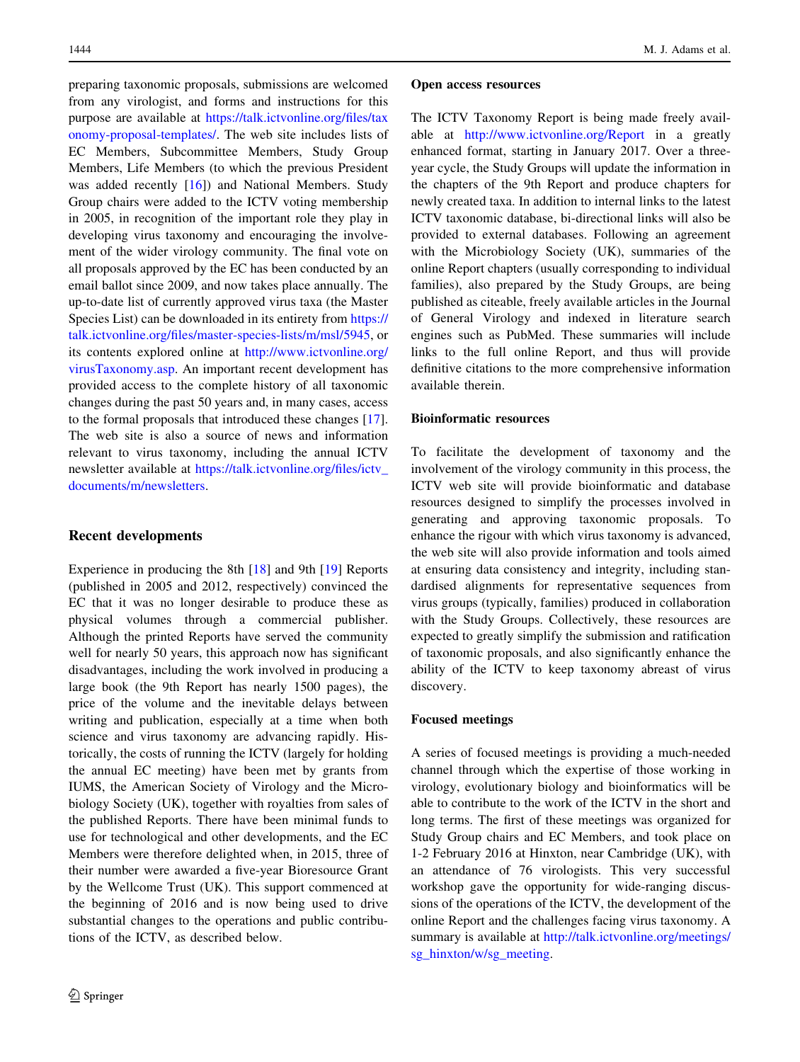preparing taxonomic proposals, submissions are welcomed from any virologist, and forms and instructions for this purpose are available at [https://talk.ictvonline.org/files/tax](https://talk.ictvonline.org/files/taxonomy-proposal-templates/) [onomy-proposal-templates/](https://talk.ictvonline.org/files/taxonomy-proposal-templates/). The web site includes lists of EC Members, Subcommittee Members, Study Group Members, Life Members (to which the previous President was added recently [[16\]](#page-5-0)) and National Members. Study Group chairs were added to the ICTV voting membership in 2005, in recognition of the important role they play in developing virus taxonomy and encouraging the involvement of the wider virology community. The final vote on all proposals approved by the EC has been conducted by an email ballot since 2009, and now takes place annually. The up-to-date list of currently approved virus taxa (the Master Species List) can be downloaded in its entirety from [https://](https://talk.ictvonline.org/files/master-species-lists/m/msl/5945) [talk.ictvonline.org/files/master-species-lists/m/msl/5945,](https://talk.ictvonline.org/files/master-species-lists/m/msl/5945) or its contents explored online at [http://www.ictvonline.org/](http://www.ictvonline.org/virusTaxonomy.asp) [virusTaxonomy.asp](http://www.ictvonline.org/virusTaxonomy.asp). An important recent development has provided access to the complete history of all taxonomic changes during the past 50 years and, in many cases, access to the formal proposals that introduced these changes [\[17](#page-5-0)]. The web site is also a source of news and information relevant to virus taxonomy, including the annual ICTV newsletter available at [https://talk.ictvonline.org/files/ictv\\_](https://talk.ictvonline.org/files/ictv_documents/m/newsletters) [documents/m/newsletters.](https://talk.ictvonline.org/files/ictv_documents/m/newsletters)

## Recent developments

Experience in producing the 8th [\[18](#page-5-0)] and 9th [[19\]](#page-5-0) Reports (published in 2005 and 2012, respectively) convinced the EC that it was no longer desirable to produce these as physical volumes through a commercial publisher. Although the printed Reports have served the community well for nearly 50 years, this approach now has significant disadvantages, including the work involved in producing a large book (the 9th Report has nearly 1500 pages), the price of the volume and the inevitable delays between writing and publication, especially at a time when both science and virus taxonomy are advancing rapidly. Historically, the costs of running the ICTV (largely for holding the annual EC meeting) have been met by grants from IUMS, the American Society of Virology and the Microbiology Society (UK), together with royalties from sales of the published Reports. There have been minimal funds to use for technological and other developments, and the EC Members were therefore delighted when, in 2015, three of their number were awarded a five-year Bioresource Grant by the Wellcome Trust (UK). This support commenced at the beginning of 2016 and is now being used to drive substantial changes to the operations and public contributions of the ICTV, as described below.

#### Open access resources

The ICTV Taxonomy Report is being made freely available at <http://www.ictvonline.org/Report> in a greatly enhanced format, starting in January 2017. Over a threeyear cycle, the Study Groups will update the information in the chapters of the 9th Report and produce chapters for newly created taxa. In addition to internal links to the latest ICTV taxonomic database, bi-directional links will also be provided to external databases. Following an agreement with the Microbiology Society (UK), summaries of the online Report chapters (usually corresponding to individual families), also prepared by the Study Groups, are being published as citeable, freely available articles in the Journal of General Virology and indexed in literature search engines such as PubMed. These summaries will include links to the full online Report, and thus will provide definitive citations to the more comprehensive information available therein.

## Bioinformatic resources

To facilitate the development of taxonomy and the involvement of the virology community in this process, the ICTV web site will provide bioinformatic and database resources designed to simplify the processes involved in generating and approving taxonomic proposals. To enhance the rigour with which virus taxonomy is advanced, the web site will also provide information and tools aimed at ensuring data consistency and integrity, including standardised alignments for representative sequences from virus groups (typically, families) produced in collaboration with the Study Groups. Collectively, these resources are expected to greatly simplify the submission and ratification of taxonomic proposals, and also significantly enhance the ability of the ICTV to keep taxonomy abreast of virus discovery.

## Focused meetings

A series of focused meetings is providing a much-needed channel through which the expertise of those working in virology, evolutionary biology and bioinformatics will be able to contribute to the work of the ICTV in the short and long terms. The first of these meetings was organized for Study Group chairs and EC Members, and took place on 1-2 February 2016 at Hinxton, near Cambridge (UK), with an attendance of 76 virologists. This very successful workshop gave the opportunity for wide-ranging discussions of the operations of the ICTV, the development of the online Report and the challenges facing virus taxonomy. A summary is available at [http://talk.ictvonline.org/meetings/](http://talk.ictvonline.org/meetings/sg_hinxton/w/sg_meeting) [sg\\_hinxton/w/sg\\_meeting](http://talk.ictvonline.org/meetings/sg_hinxton/w/sg_meeting).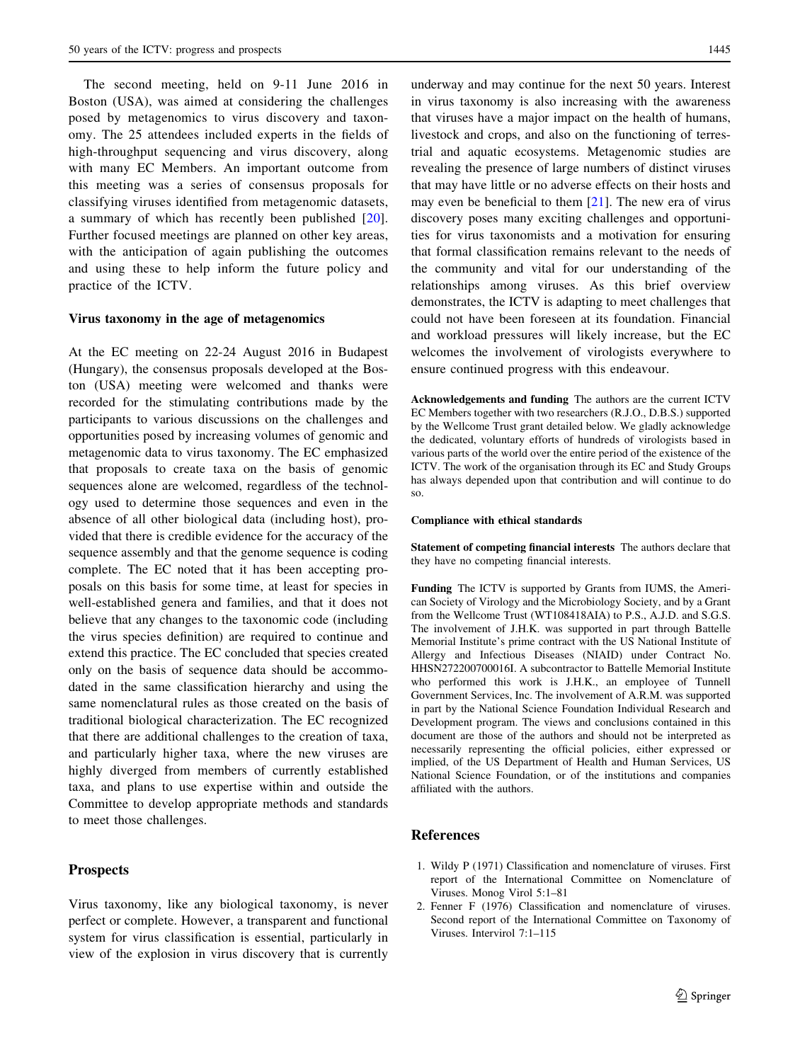<span id="page-4-0"></span>The second meeting, held on 9-11 June 2016 in Boston (USA), was aimed at considering the challenges posed by metagenomics to virus discovery and taxonomy. The 25 attendees included experts in the fields of high-throughput sequencing and virus discovery, along with many EC Members. An important outcome from this meeting was a series of consensus proposals for classifying viruses identified from metagenomic datasets, a summary of which has recently been published [[20](#page-5-0)]. Further focused meetings are planned on other key areas, with the anticipation of again publishing the outcomes and using these to help inform the future policy and practice of the ICTV.

#### Virus taxonomy in the age of metagenomics

At the EC meeting on 22-24 August 2016 in Budapest (Hungary), the consensus proposals developed at the Boston (USA) meeting were welcomed and thanks were recorded for the stimulating contributions made by the participants to various discussions on the challenges and opportunities posed by increasing volumes of genomic and metagenomic data to virus taxonomy. The EC emphasized that proposals to create taxa on the basis of genomic sequences alone are welcomed, regardless of the technology used to determine those sequences and even in the absence of all other biological data (including host), provided that there is credible evidence for the accuracy of the sequence assembly and that the genome sequence is coding complete. The EC noted that it has been accepting proposals on this basis for some time, at least for species in well-established genera and families, and that it does not believe that any changes to the taxonomic code (including the virus species definition) are required to continue and extend this practice. The EC concluded that species created only on the basis of sequence data should be accommodated in the same classification hierarchy and using the same nomenclatural rules as those created on the basis of traditional biological characterization. The EC recognized that there are additional challenges to the creation of taxa, and particularly higher taxa, where the new viruses are highly diverged from members of currently established taxa, and plans to use expertise within and outside the Committee to develop appropriate methods and standards to meet those challenges.

## **Prospects**

Virus taxonomy, like any biological taxonomy, is never perfect or complete. However, a transparent and functional system for virus classification is essential, particularly in view of the explosion in virus discovery that is currently

underway and may continue for the next 50 years. Interest in virus taxonomy is also increasing with the awareness that viruses have a major impact on the health of humans, livestock and crops, and also on the functioning of terrestrial and aquatic ecosystems. Metagenomic studies are revealing the presence of large numbers of distinct viruses that may have little or no adverse effects on their hosts and may even be beneficial to them  $[21]$  $[21]$ . The new era of virus discovery poses many exciting challenges and opportunities for virus taxonomists and a motivation for ensuring that formal classification remains relevant to the needs of the community and vital for our understanding of the relationships among viruses. As this brief overview demonstrates, the ICTV is adapting to meet challenges that could not have been foreseen at its foundation. Financial and workload pressures will likely increase, but the EC welcomes the involvement of virologists everywhere to ensure continued progress with this endeavour.

Acknowledgements and funding The authors are the current ICTV EC Members together with two researchers (R.J.O., D.B.S.) supported by the Wellcome Trust grant detailed below. We gladly acknowledge the dedicated, voluntary efforts of hundreds of virologists based in various parts of the world over the entire period of the existence of the ICTV. The work of the organisation through its EC and Study Groups has always depended upon that contribution and will continue to do so.

#### Compliance with ethical standards

Statement of competing financial interests The authors declare that they have no competing financial interests.

Funding The ICTV is supported by Grants from IUMS, the American Society of Virology and the Microbiology Society, and by a Grant from the Wellcome Trust (WT108418AIA) to P.S., A.J.D. and S.G.S. The involvement of J.H.K. was supported in part through Battelle Memorial Institute's prime contract with the US National Institute of Allergy and Infectious Diseases (NIAID) under Contract No. HHSN272200700016I. A subcontractor to Battelle Memorial Institute who performed this work is J.H.K., an employee of Tunnell Government Services, Inc. The involvement of A.R.M. was supported in part by the National Science Foundation Individual Research and Development program. The views and conclusions contained in this document are those of the authors and should not be interpreted as necessarily representing the official policies, either expressed or implied, of the US Department of Health and Human Services, US National Science Foundation, or of the institutions and companies affiliated with the authors.

## References

- 1. Wildy P (1971) Classification and nomenclature of viruses. First report of the International Committee on Nomenclature of Viruses. Monog Virol 5:1–81
- 2. Fenner F (1976) Classification and nomenclature of viruses. Second report of the International Committee on Taxonomy of Viruses. Intervirol 7:1–115